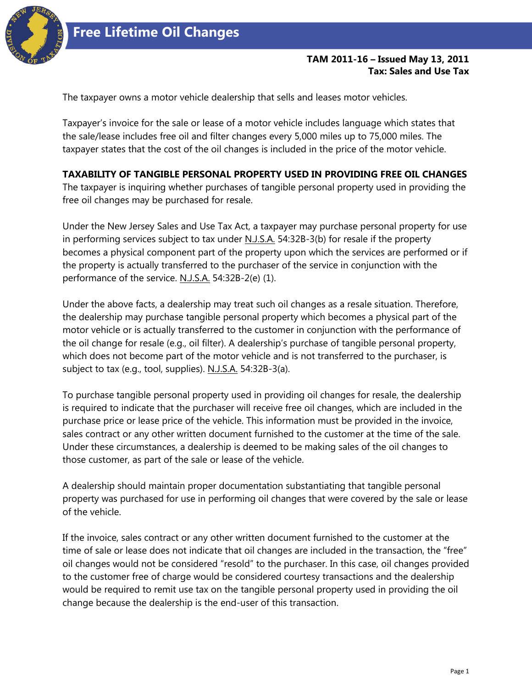

## **TAM 2011-16 – Issued May 13, 2011 Tax: Sales and Use Tax**

The taxpayer owns a motor vehicle dealership that sells and leases motor vehicles.

Taxpayer's invoice for the sale or lease of a motor vehicle includes language which states that the sale/lease includes free oil and filter changes every 5,000 miles up to 75,000 miles. The taxpayer states that the cost of the oil changes is included in the price of the motor vehicle.

## **TAXABILITY OF TANGIBLE PERSONAL PROPERTY USED IN PROVIDING FREE OIL CHANGES**

The taxpayer is inquiring whether purchases of tangible personal property used in providing the free oil changes may be purchased for resale.

Under the New Jersey Sales and Use Tax Act, a taxpayer may purchase personal property for use in performing services subject to tax under N.J.S.A. 54:32B-3(b) for resale if the property becomes a physical component part of the property upon which the services are performed or if the property is actually transferred to the purchaser of the service in conjunction with the performance of the service. N.J.S.A. 54:32B-2(e) (1).

Under the above facts, a dealership may treat such oil changes as a resale situation. Therefore, the dealership may purchase tangible personal property which becomes a physical part of the motor vehicle or is actually transferred to the customer in conjunction with the performance of the oil change for resale (e.g., oil filter). A dealership's purchase of tangible personal property, which does not become part of the motor vehicle and is not transferred to the purchaser, is subject to tax (e.g., tool, supplies). N.J.S.A. 54:32B-3(a).

To purchase tangible personal property used in providing oil changes for resale, the dealership is required to indicate that the purchaser will receive free oil changes, which are included in the purchase price or lease price of the vehicle. This information must be provided in the invoice, sales contract or any other written document furnished to the customer at the time of the sale. Under these circumstances, a dealership is deemed to be making sales of the oil changes to those customer, as part of the sale or lease of the vehicle.

A dealership should maintain proper documentation substantiating that tangible personal property was purchased for use in performing oil changes that were covered by the sale or lease of the vehicle.

If the invoice, sales contract or any other written document furnished to the customer at the time of sale or lease does not indicate that oil changes are included in the transaction, the "free" oil changes would not be considered "resold" to the purchaser. In this case, oil changes provided to the customer free of charge would be considered courtesy transactions and the dealership would be required to remit use tax on the tangible personal property used in providing the oil change because the dealership is the end-user of this transaction.